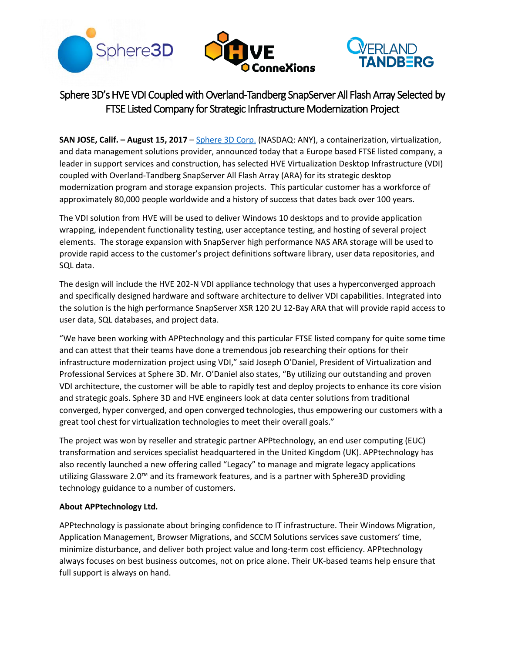





# Sphere 3D's HVE VDI Coupled with Overland-Tandberg SnapServer All Flash Array Selected by FTSE Listed Company for Strategic Infrastructure Modernization Project

**SAN JOSE, Calif. – August 15, 2017** – [Sphere 3D Corp.](http://www.sphere3d.com/) (NASDAQ: ANY), a containerization, virtualization, and data management solutions provider, announced today that a Europe based FTSE listed company, a leader in support services and construction, has selected HVE Virtualization Desktop Infrastructure (VDI) coupled with Overland-Tandberg SnapServer All Flash Array (ARA) for its strategic desktop modernization program and storage expansion projects. This particular customer has a workforce of approximately 80,000 people worldwide and a history of success that dates back over 100 years.

The VDI solution from HVE will be used to deliver Windows 10 desktops and to provide application wrapping, independent functionality testing, user acceptance testing, and hosting of several project elements. The storage expansion with SnapServer high performance NAS ARA storage will be used to provide rapid access to the customer's project definitions software library, user data repositories, and SQL data.

The design will include the HVE 202-N VDI appliance technology that uses a hyperconverged approach and specifically designed hardware and software architecture to deliver VDI capabilities. Integrated into the solution is the high performance SnapServer XSR 120 2U 12-Bay ARA that will provide rapid access to user data, SQL databases, and project data.

"We have been working with APPtechnology and this particular FTSE listed company for quite some time and can attest that their teams have done a tremendous job researching their options for their infrastructure modernization project using VDI," said Joseph O'Daniel, President of Virtualization and Professional Services at Sphere 3D. Mr. O'Daniel also states, "By utilizing our outstanding and proven VDI architecture, the customer will be able to rapidly test and deploy projects to enhance its core vision and strategic goals. Sphere 3D and HVE engineers look at data center solutions from traditional converged, hyper converged, and open converged technologies, thus empowering our customers with a great tool chest for virtualization technologies to meet their overall goals."

The project was won by reseller and strategic partner APPtechnology, an end user computing (EUC) transformation and services specialist headquartered in the United Kingdom (UK). APPtechnology has also recently launched a new offering called "Legacy" to manage and migrate legacy applications utilizing Glassware 2.0™ and its framework features, and is a partner with Sphere3D providing technology guidance to a number of customers.

## **About APPtechnology Ltd.**

APPtechnology is passionate about bringing confidence to IT infrastructure. Their Windows Migration, Application Management, Browser Migrations, and SCCM Solutions services save customers' time, minimize disturbance, and deliver both project value and long-term cost efficiency. APPtechnology always focuses on best business outcomes, not on price alone. Their UK-based teams help ensure that full support is always on hand.